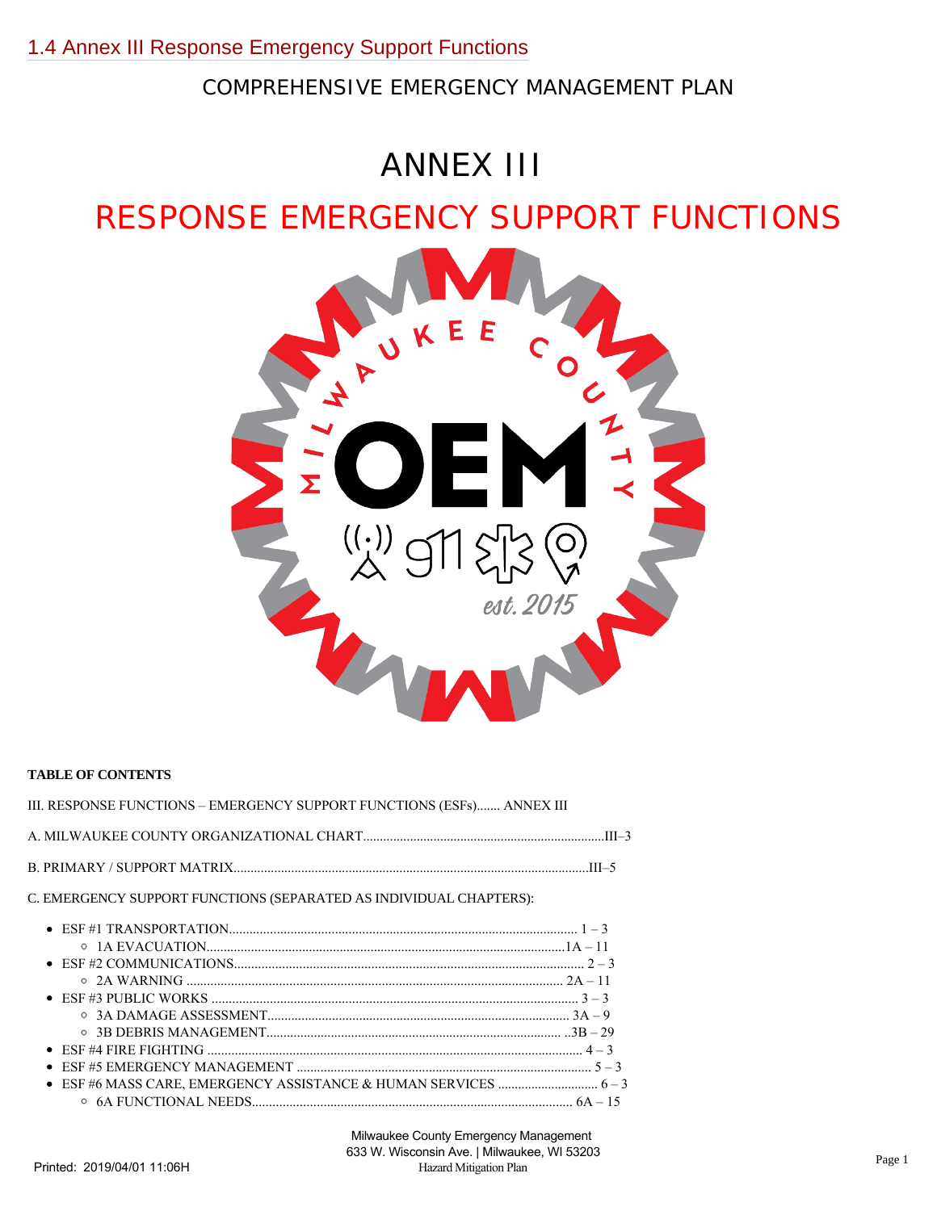COMPREHENSIVE EMERGENCY MANAGEMENT PLAN

# ANNEX III

## RESPONSE EMERGENCY SUPPORT FUNCTIONS



#### **TABLE OF CONTENTS**

| III. RESPONSE FUNCTIONS – EMERGENCY SUPPORT FUNCTIONS (ESFs) ANNEX III |  |
|------------------------------------------------------------------------|--|
|                                                                        |  |
|                                                                        |  |
| C. EMERGENCY SUPPORT FUNCTIONS (SEPARATED AS INDIVIDUAL CHAPTERS):     |  |
|                                                                        |  |
|                                                                        |  |
|                                                                        |  |
|                                                                        |  |
|                                                                        |  |
|                                                                        |  |
|                                                                        |  |
|                                                                        |  |
|                                                                        |  |
|                                                                        |  |
|                                                                        |  |
|                                                                        |  |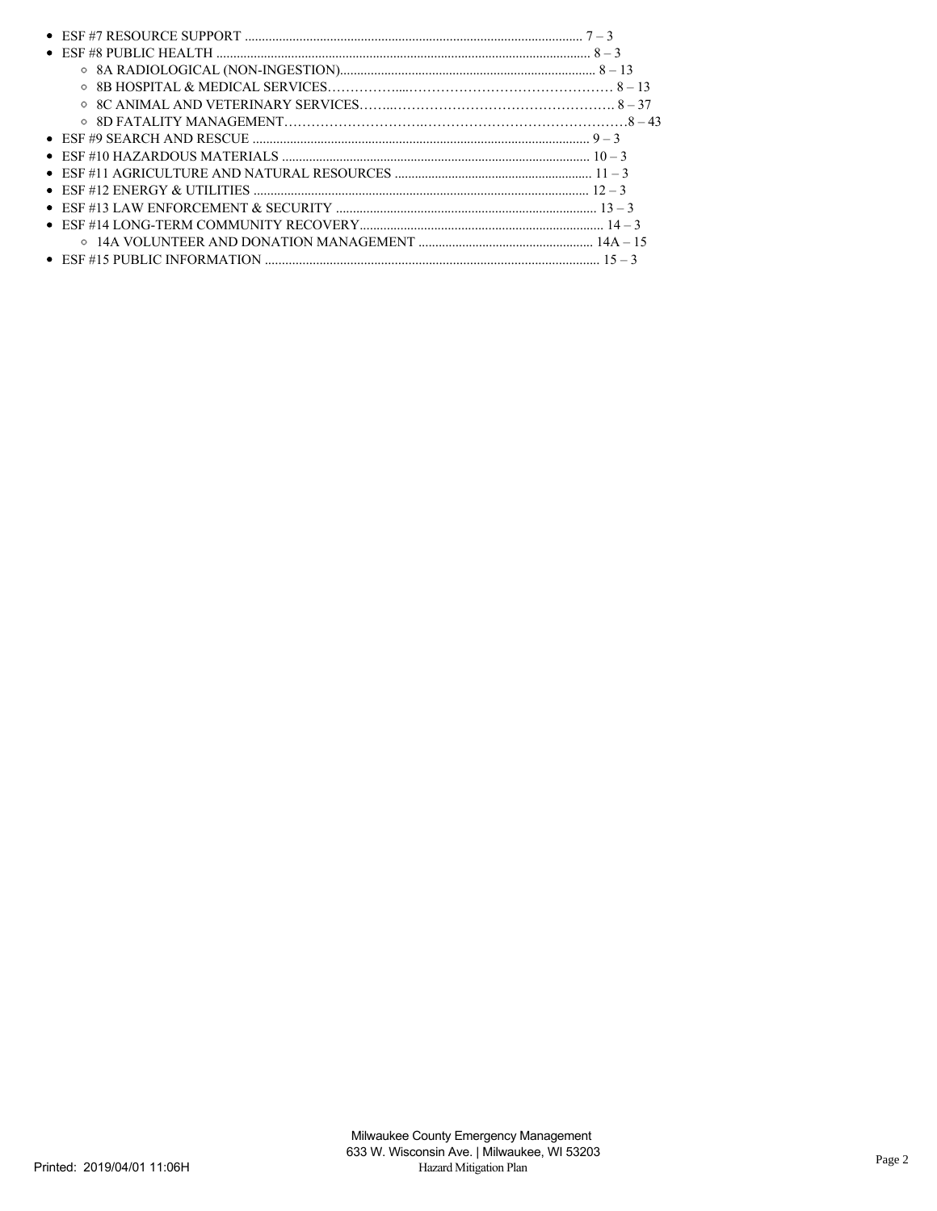| • ESF #7 RESOURCE SUPPORT $\ldots$ $7-3$                            |  |
|---------------------------------------------------------------------|--|
|                                                                     |  |
|                                                                     |  |
|                                                                     |  |
|                                                                     |  |
|                                                                     |  |
|                                                                     |  |
|                                                                     |  |
| $\bullet$ ESF #11 AGRICULTURE AND NATURAL RESOURCES $\ldots$ $11-3$ |  |
|                                                                     |  |
|                                                                     |  |
|                                                                     |  |
|                                                                     |  |
|                                                                     |  |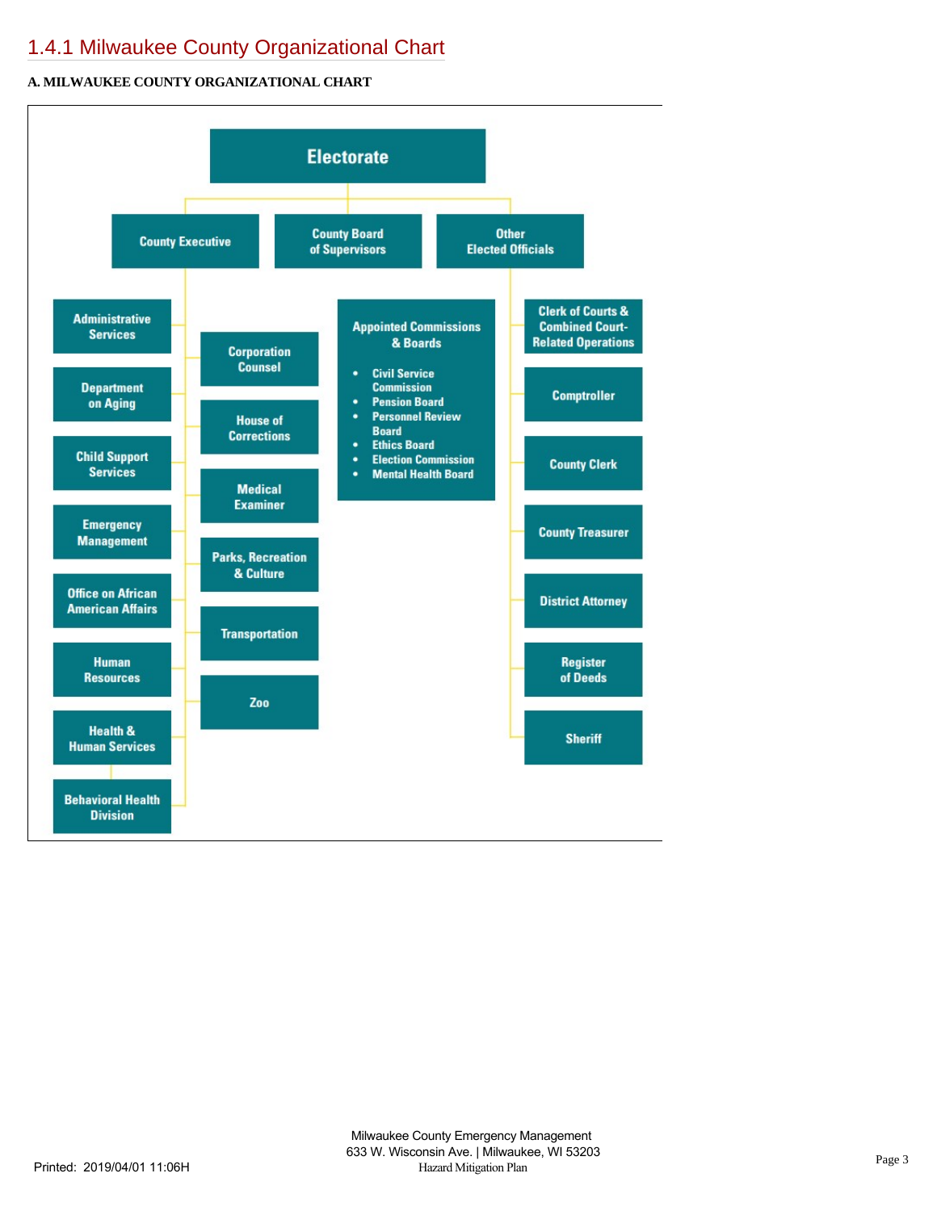## [1.4.1 Milwaukee County Organizational Chart](https://milwaukeecounty.isc-cemp.com/Cemp/Details?id=5809770)

#### **A. MILWAUKEE COUNTY ORGANIZATIONAL CHART**

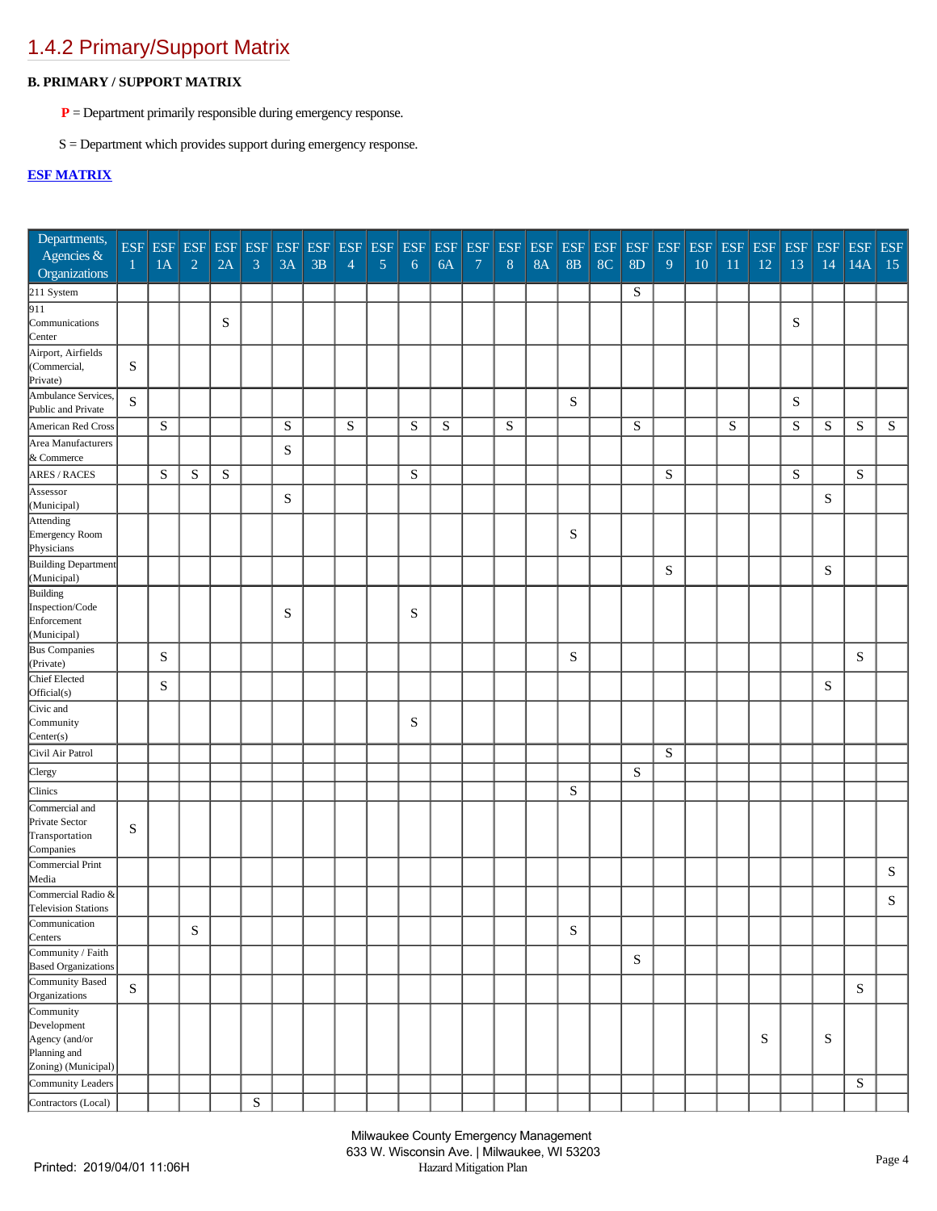## [1.4.2 Primary/Support Matrix](https://milwaukeecounty.isc-cemp.com/Cemp/Details?id=5809772)

#### **B. PRIMARY / SUPPORT MATRIX**

- **P** = Department primarily responsible during emergency response.
- S = Department which provides support during emergency response.

#### **[ESF MATRIX](https://milwaukeecounty.isc-cemp.com/FileOut/cemp/91/files/County%20CEMP%202016/00%20Annex%20III%20Response-Emergency%20Support%20Functions-ESFs(R).docx)**

| Departments,<br>Agencies &<br>Organizations                                       | 1           | <b>ESF ESF ESF</b><br>1A | $\sqrt{2}$  | <b>ESF</b><br>2A | <b>ESF</b> ESF<br>$\mathfrak{Z}$ | 3A        | ESF<br>3B | <b>ESF</b><br>$\overline{4}$ | <b>ESF</b><br>$\overline{5}$ | <b>ESF</b><br>6 | $\ensuremath{\mathrm{ESF}}$<br>6A | <b>ESF</b><br>$\boldsymbol{7}$ | <b>ESF</b><br>$8\,$ | <b>ESF</b><br><b>8A</b> | <b>ESF</b><br>8B | <b>ESF</b><br>8 <sup>C</sup> | ESF<br>8D | <b>ESF</b><br>9 | <b>ESF</b><br>10 | $\operatorname{ESF}$<br>11 | <b>ESF</b><br>12 | <b>ESF</b><br>13 | <b>ESF</b><br>14 | <b>ESF</b><br>14A | <b>ESF</b><br>15 |
|-----------------------------------------------------------------------------------|-------------|--------------------------|-------------|------------------|----------------------------------|-----------|-----------|------------------------------|------------------------------|-----------------|-----------------------------------|--------------------------------|---------------------|-------------------------|------------------|------------------------------|-----------|-----------------|------------------|----------------------------|------------------|------------------|------------------|-------------------|------------------|
| 211 System                                                                        |             |                          |             |                  |                                  |           |           |                              |                              |                 |                                   |                                |                     |                         |                  |                              | S         |                 |                  |                            |                  |                  |                  |                   |                  |
| $\overline{911}$<br>Communications<br>Center                                      |             |                          |             | S                |                                  |           |           |                              |                              |                 |                                   |                                |                     |                         |                  |                              |           |                 |                  |                            |                  | S                |                  |                   |                  |
| Airport, Airfields<br>(Commercial,<br>Private)                                    | S           |                          |             |                  |                                  |           |           |                              |                              |                 |                                   |                                |                     |                         |                  |                              |           |                 |                  |                            |                  |                  |                  |                   |                  |
| Ambulance Services,<br>Public and Private                                         | $\mathbf S$ |                          |             |                  |                                  |           |           |                              |                              |                 |                                   |                                |                     |                         | ${\bf S}$        |                              |           |                 |                  |                            |                  | ${\bf S}$        |                  |                   |                  |
| American Red Cross                                                                |             | ${\bf S}$                |             |                  |                                  | ${\bf S}$ |           | S                            |                              | S               | S                                 |                                | ${\bf S}$           |                         |                  |                              | ${\bf S}$ |                 |                  | ${\bf S}$                  |                  | $\mathbf S$      | S                | ${\bf S}$         | ${\bf S}$        |
| Area Manufacturers<br>& Commerce                                                  |             |                          |             |                  |                                  | ${\bf S}$ |           |                              |                              |                 |                                   |                                |                     |                         |                  |                              |           |                 |                  |                            |                  |                  |                  |                   |                  |
| <b>ARES / RACES</b>                                                               |             | S                        | $\mathbf S$ | ${\bf S}$        |                                  |           |           |                              |                              | S               |                                   |                                |                     |                         |                  |                              |           | S               |                  |                            |                  | ${\bf S}$        |                  | ${\bf S}$         |                  |
| Assessor<br>(Municipal)                                                           |             |                          |             |                  |                                  | ${\bf S}$ |           |                              |                              |                 |                                   |                                |                     |                         |                  |                              |           |                 |                  |                            |                  |                  | ${\bf S}$        |                   |                  |
| Attending<br>Emergency Room<br>Physicians                                         |             |                          |             |                  |                                  |           |           |                              |                              |                 |                                   |                                |                     |                         | ${\bf S}$        |                              |           |                 |                  |                            |                  |                  |                  |                   |                  |
| Building Department<br>(Municipal)                                                |             |                          |             |                  |                                  |           |           |                              |                              |                 |                                   |                                |                     |                         |                  |                              |           | S               |                  |                            |                  |                  | S                |                   |                  |
| Building<br>Inspection/Code<br>Enforcement<br>(Municipal)                         |             |                          |             |                  |                                  | S         |           |                              |                              | S               |                                   |                                |                     |                         |                  |                              |           |                 |                  |                            |                  |                  |                  |                   |                  |
| <b>Bus Companies</b><br>(Private)                                                 |             | S                        |             |                  |                                  |           |           |                              |                              |                 |                                   |                                |                     |                         | S                |                              |           |                 |                  |                            |                  |                  |                  | S                 |                  |
| Chief Elected<br>Official(s)                                                      |             | ${\bf S}$                |             |                  |                                  |           |           |                              |                              |                 |                                   |                                |                     |                         |                  |                              |           |                 |                  |                            |                  |                  | ${\bf S}$        |                   |                  |
| Civic and<br>Community<br>Center(s)                                               |             |                          |             |                  |                                  |           |           |                              |                              | S               |                                   |                                |                     |                         |                  |                              |           |                 |                  |                            |                  |                  |                  |                   |                  |
| Civil Air Patrol                                                                  |             |                          |             |                  |                                  |           |           |                              |                              |                 |                                   |                                |                     |                         |                  |                              |           | S               |                  |                            |                  |                  |                  |                   |                  |
| Clergy                                                                            |             |                          |             |                  |                                  |           |           |                              |                              |                 |                                   |                                |                     |                         |                  |                              | S         |                 |                  |                            |                  |                  |                  |                   |                  |
| Clinics                                                                           |             |                          |             |                  |                                  |           |           |                              |                              |                 |                                   |                                |                     |                         | ${\bf S}$        |                              |           |                 |                  |                            |                  |                  |                  |                   |                  |
| Commercial and<br>Private Sector<br>Transportation<br>Companies                   | S           |                          |             |                  |                                  |           |           |                              |                              |                 |                                   |                                |                     |                         |                  |                              |           |                 |                  |                            |                  |                  |                  |                   |                  |
| Commercial Print<br>Media                                                         |             |                          |             |                  |                                  |           |           |                              |                              |                 |                                   |                                |                     |                         |                  |                              |           |                 |                  |                            |                  |                  |                  |                   | ${\bf S}$        |
| Commercial Radio &<br><b>Television Stations</b>                                  |             |                          |             |                  |                                  |           |           |                              |                              |                 |                                   |                                |                     |                         |                  |                              |           |                 |                  |                            |                  |                  |                  |                   | S                |
| Communication<br>Centers                                                          |             |                          | $\mathbf S$ |                  |                                  |           |           |                              |                              |                 |                                   |                                |                     |                         | ${\bf S}$        |                              |           |                 |                  |                            |                  |                  |                  |                   |                  |
| $\overline{\text{Comunity}}$ / Faith<br><b>Based Organizations</b>                |             |                          |             |                  |                                  |           |           |                              |                              |                 |                                   |                                |                     |                         |                  |                              | ${\bf S}$ |                 |                  |                            |                  |                  |                  |                   |                  |
| Community Based<br>Organizations                                                  | ${\bf S}$   |                          |             |                  |                                  |           |           |                              |                              |                 |                                   |                                |                     |                         |                  |                              |           |                 |                  |                            |                  |                  |                  | ${\bf S}$         |                  |
| Community<br>Development<br>Agency (and/or<br>Planning and<br>Zoning) (Municipal) |             |                          |             |                  |                                  |           |           |                              |                              |                 |                                   |                                |                     |                         |                  |                              |           |                 |                  |                            | S                |                  | S                |                   |                  |
| Community Leaders                                                                 |             |                          |             |                  |                                  |           |           |                              |                              |                 |                                   |                                |                     |                         |                  |                              |           |                 |                  |                            |                  |                  |                  | ${\bf S}$         |                  |
| Contractors (Local)                                                               |             |                          |             |                  | ${\bf S}$                        |           |           |                              |                              |                 |                                   |                                |                     |                         |                  |                              |           |                 |                  |                            |                  |                  |                  |                   |                  |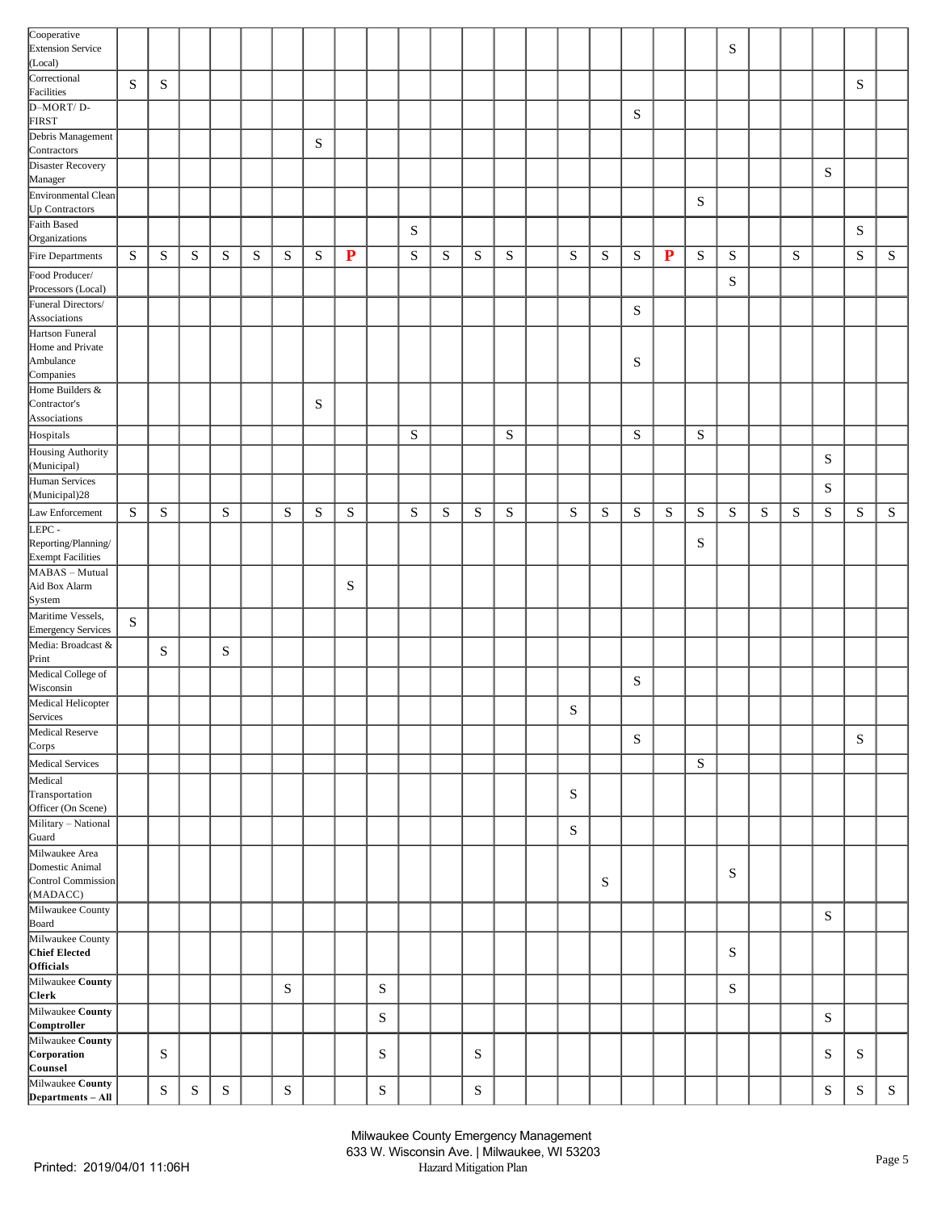| Cooperative<br><b>Extension Service</b><br>(Local)           |           |           |           |           |   |           |           |             |           |           |   |           |           |             |           |           |           |             | $\mathbf S$ |   |           |           |             |           |
|--------------------------------------------------------------|-----------|-----------|-----------|-----------|---|-----------|-----------|-------------|-----------|-----------|---|-----------|-----------|-------------|-----------|-----------|-----------|-------------|-------------|---|-----------|-----------|-------------|-----------|
| Correctional<br>Facilities                                   | ${\bf S}$ | ${\bf S}$ |           |           |   |           |           |             |           |           |   |           |           |             |           |           |           |             |             |   |           |           | ${\bf S}$   |           |
| D-MORT/D-                                                    |           |           |           |           |   |           |           |             |           |           |   |           |           |             |           | ${\bf S}$ |           |             |             |   |           |           |             |           |
| FIRST<br>Debris Management                                   |           |           |           |           |   |           | ${\bf S}$ |             |           |           |   |           |           |             |           |           |           |             |             |   |           |           |             |           |
| Contractors<br>Disaster Recovery                             |           |           |           |           |   |           |           |             |           |           |   |           |           |             |           |           |           |             |             |   |           |           |             |           |
| Manager<br>Environmental Clean                               |           |           |           |           |   |           |           |             |           |           |   |           |           |             |           |           |           |             |             |   |           | S         |             |           |
| Up Contractors                                               |           |           |           |           |   |           |           |             |           |           |   |           |           |             |           |           |           | ${\bf S}$   |             |   |           |           |             |           |
| Faith Based<br>Organizations                                 |           |           |           |           |   |           |           |             |           | ${\bf S}$ |   |           |           |             |           |           |           |             |             |   |           |           | ${\bf S}$   |           |
| Fire Departments                                             | S         | S         | ${\bf S}$ | ${\bf S}$ | S | ${\bf S}$ | S         | ${\bf P}$   |           | ${\bf S}$ | S | ${\bf S}$ | ${\bf S}$ | ${\bf S}$   | ${\bf S}$ | S         | ${\bf P}$ | ${\bf S}$   | ${\bf S}$   |   | ${\bf S}$ |           | ${\bf S}$   | ${\bf S}$ |
| Food Producer/<br>Processors (Local)                         |           |           |           |           |   |           |           |             |           |           |   |           |           |             |           |           |           |             | $\mathbf S$ |   |           |           |             |           |
| Funeral Directors/<br>Associations                           |           |           |           |           |   |           |           |             |           |           |   |           |           |             |           | ${\bf S}$ |           |             |             |   |           |           |             |           |
| Hartson Funeral                                              |           |           |           |           |   |           |           |             |           |           |   |           |           |             |           |           |           |             |             |   |           |           |             |           |
| Home and Private<br>Ambulance                                |           |           |           |           |   |           |           |             |           |           |   |           |           |             |           | S         |           |             |             |   |           |           |             |           |
| Companies<br>Home Builders &                                 |           |           |           |           |   |           |           |             |           |           |   |           |           |             |           |           |           |             |             |   |           |           |             |           |
| Contractor's<br>Associations                                 |           |           |           |           |   |           | S         |             |           |           |   |           |           |             |           |           |           |             |             |   |           |           |             |           |
| Hospitals                                                    |           |           |           |           |   |           |           |             |           | ${\bf S}$ |   |           | S         |             |           | S         |           | $\mathbf S$ |             |   |           |           |             |           |
| Housing Authority<br>(Municipal)                             |           |           |           |           |   |           |           |             |           |           |   |           |           |             |           |           |           |             |             |   |           | S         |             |           |
| Human Services<br>(Municipal)28                              |           |           |           |           |   |           |           |             |           |           |   |           |           |             |           |           |           |             |             |   |           | ${\bf S}$ |             |           |
| Law Enforcement                                              | ${\bf S}$ | S         |           | ${\bf S}$ |   | ${\bf S}$ | ${\bf S}$ | S           |           | ${\bf S}$ | S | S         | S         | ${\bf S}$   | S         | S         | S         | ${\bf S}$   | S           | S | S         | ${\bf S}$ | S           | ${\bf S}$ |
| LEPC-<br>Reporting/Planning/<br><b>Exempt Facilities</b>     |           |           |           |           |   |           |           |             |           |           |   |           |           |             |           |           |           | S           |             |   |           |           |             |           |
| MABAS - Mutual<br>Aid Box Alarm<br>System                    |           |           |           |           |   |           |           | $\mathbf S$ |           |           |   |           |           |             |           |           |           |             |             |   |           |           |             |           |
| Maritime Vessels,<br>Emergency Services                      | ${\bf S}$ |           |           |           |   |           |           |             |           |           |   |           |           |             |           |           |           |             |             |   |           |           |             |           |
| Media: Broadcast &<br>Print                                  |           | S         |           | S         |   |           |           |             |           |           |   |           |           |             |           |           |           |             |             |   |           |           |             |           |
| Medical College of<br>Wisconsin                              |           |           |           |           |   |           |           |             |           |           |   |           |           |             |           | S         |           |             |             |   |           |           |             |           |
| Medical Helicopter<br>Services                               |           |           |           |           |   |           |           |             |           |           |   |           |           | $\mathbf S$ |           |           |           |             |             |   |           |           |             |           |
| Medical Reserve<br>Corps                                     |           |           |           |           |   |           |           |             |           |           |   |           |           |             |           | S         |           |             |             |   |           |           | $\mathbf S$ |           |
| Medical Services                                             |           |           |           |           |   |           |           |             |           |           |   |           |           |             |           |           |           | ${\bf S}$   |             |   |           |           |             |           |
| Medical<br>Transportation<br>Officer (On Scene)              |           |           |           |           |   |           |           |             |           |           |   |           |           | ${\bf S}$   |           |           |           |             |             |   |           |           |             |           |
| Military - National<br>Guard                                 |           |           |           |           |   |           |           |             |           |           |   |           |           | ${\bf S}$   |           |           |           |             |             |   |           |           |             |           |
| Milwaukee Area<br>Domestic Animal                            |           |           |           |           |   |           |           |             |           |           |   |           |           |             |           |           |           |             | $\mathbf S$ |   |           |           |             |           |
| Control Commission<br>(MADACC)                               |           |           |           |           |   |           |           |             |           |           |   |           |           |             | S         |           |           |             |             |   |           |           |             |           |
| Milwaukee County<br>Board                                    |           |           |           |           |   |           |           |             |           |           |   |           |           |             |           |           |           |             |             |   |           | ${\bf S}$ |             |           |
| Milwaukee County<br><b>Chief Elected</b><br><b>Officials</b> |           |           |           |           |   |           |           |             |           |           |   |           |           |             |           |           |           |             | $\mathbf S$ |   |           |           |             |           |
| Milwaukee County<br><b>Clerk</b>                             |           |           |           |           |   | S         |           |             | S         |           |   |           |           |             |           |           |           |             | $\mathbf S$ |   |           |           |             |           |
| Milwaukee County<br>Comptroller                              |           |           |           |           |   |           |           |             | ${\bf S}$ |           |   |           |           |             |           |           |           |             |             |   |           | ${\bf S}$ |             |           |
| Milwaukee County<br>Corporation                              |           | S         |           |           |   |           |           |             | S         |           |   | ${\bf S}$ |           |             |           |           |           |             |             |   |           | S         | S           |           |
| Counsel<br>Milwaukee County                                  |           |           |           |           |   |           |           |             |           |           |   |           |           |             |           |           |           |             |             |   |           |           |             |           |
| Departments - All                                            |           | ${\bf S}$ | ${\bf S}$ | ${\bf S}$ |   | ${\bf S}$ |           |             | ${\bf S}$ |           |   | ${\bf S}$ |           |             |           |           |           |             |             |   |           | ${\bf S}$ | $\mathbf S$ | ${\bf S}$ |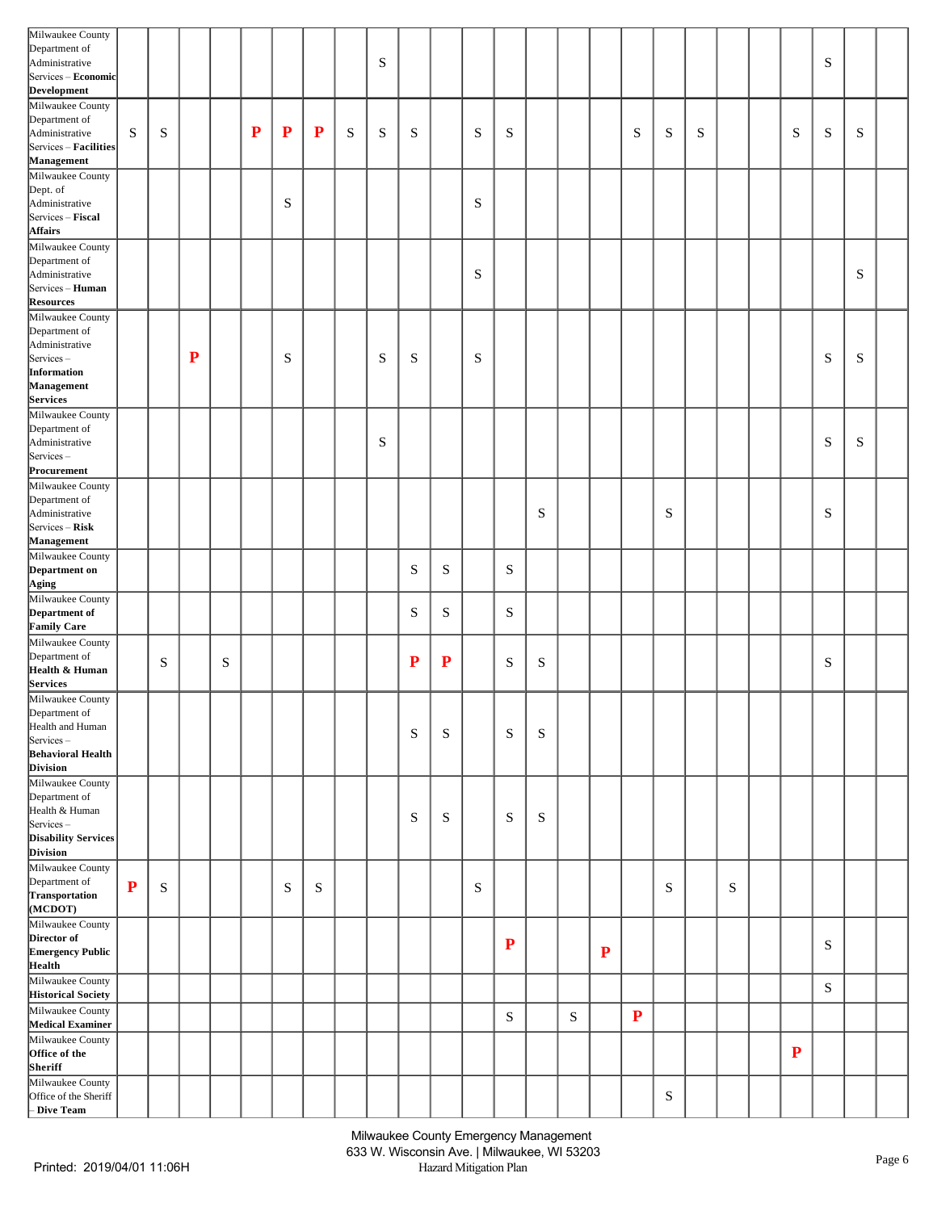| Milwaukee County<br>Department of<br>Administrative                                                               |           |   |           |           |             |   |           |           | S |             |           |             |           |   |             |           |           |           |   |   |           | S         |             |  |
|-------------------------------------------------------------------------------------------------------------------|-----------|---|-----------|-----------|-------------|---|-----------|-----------|---|-------------|-----------|-------------|-----------|---|-------------|-----------|-----------|-----------|---|---|-----------|-----------|-------------|--|
| Services - Economic<br>Development<br>Milwaukee County                                                            |           |   |           |           |             |   |           |           |   |             |           |             |           |   |             |           |           |           |   |   |           |           |             |  |
| Department of<br>Administrative<br>Services - Facilities<br>Management                                            | S         | S |           |           | $\mathbf P$ | P | ${\bf P}$ | ${\bf S}$ | S | $\mathbf S$ |           | S           | S         |   |             |           | S         | ${\bf S}$ | S |   | ${\bf S}$ | S         | $\mathbf S$ |  |
| Milwaukee County<br>Dept. of<br>Administrative<br>Services - Fiscal<br><b>Affairs</b>                             |           |   |           |           |             | S |           |           |   |             |           | S           |           |   |             |           |           |           |   |   |           |           |             |  |
| Milwaukee County<br>Department of<br>Administrative<br>Services - Human                                           |           |   |           |           |             |   |           |           |   |             |           | $\mathbf S$ |           |   |             |           |           |           |   |   |           |           | $\mathbf S$ |  |
| <b>Resources</b><br>Milwaukee County<br>Department of<br>Administrative<br>Services-<br>Information               |           |   | ${\bf P}$ |           |             | S |           |           | S | $\mathbf S$ |           | S           |           |   |             |           |           |           |   |   |           | S         | $\mathbf S$ |  |
| Management<br>Services                                                                                            |           |   |           |           |             |   |           |           |   |             |           |             |           |   |             |           |           |           |   |   |           |           |             |  |
| Milwaukee County<br>Department of<br>Administrative<br>$S$ ervices –<br>Procurement                               |           |   |           |           |             |   |           |           | S |             |           |             |           |   |             |           |           |           |   |   |           | S         | $\mathbf S$ |  |
| Milwaukee County<br>Department of<br>Administrative<br>Services – Risk<br><b>Management</b>                       |           |   |           |           |             |   |           |           |   |             |           |             |           | S |             |           |           | S         |   |   |           | S         |             |  |
| Milwaukee County<br>Department on<br>Aging                                                                        |           |   |           |           |             |   |           |           |   | S           | S         |             | S         |   |             |           |           |           |   |   |           |           |             |  |
| Milwaukee County<br>Department of<br><b>Family Care</b>                                                           |           |   |           |           |             |   |           |           |   | S           | S         |             | S         |   |             |           |           |           |   |   |           |           |             |  |
| Milwaukee County<br>Department of<br>Health & Human<br><b>Services</b>                                            |           | S |           | ${\bf S}$ |             |   |           |           |   | ${\bf P}$   | ${\bf P}$ |             | ${\bf S}$ | S |             |           |           |           |   |   |           | S         |             |  |
| Milwaukee County<br>Department of<br>Health and Human<br>Services-<br><b>Behavioral Health</b><br><b>Division</b> |           |   |           |           |             |   |           |           |   | ${\bf S}$   | S         |             | ${\bf S}$ | S |             |           |           |           |   |   |           |           |             |  |
| Milwaukee County<br>Department of<br>Health & Human<br>Services-<br>Disability Services                           |           |   |           |           |             |   |           |           |   | $\mathbf S$ | S         |             | S         | S |             |           |           |           |   |   |           |           |             |  |
| <b>Division</b><br>Milwaukee County<br>Department of<br>Transportation<br>(MCDOT)                                 | ${\bf P}$ | S |           |           |             | S | S         |           |   |             |           | $\mathbf S$ |           |   |             |           |           | S         |   | S |           |           |             |  |
| Milwaukee County<br>Director of<br><b>Emergency Public</b><br>Health                                              |           |   |           |           |             |   |           |           |   |             |           |             | ${\bf P}$ |   |             | ${\bf P}$ |           |           |   |   |           | S         |             |  |
| Milwaukee County<br><b>Historical Society</b><br>Milwaukee County                                                 |           |   |           |           |             |   |           |           |   |             |           |             |           |   |             |           |           |           |   |   |           | ${\bf S}$ |             |  |
| <b>Medical Examiner</b><br>Milwaukee County                                                                       |           |   |           |           |             |   |           |           |   |             |           |             | ${\bf S}$ |   | $\mathbf S$ |           | ${\bf P}$ |           |   |   |           |           |             |  |
| Office of the<br>Sheriff                                                                                          |           |   |           |           |             |   |           |           |   |             |           |             |           |   |             |           |           |           |   |   | ${\bf P}$ |           |             |  |
| Milwaukee County<br>Office of the Sheriff<br>- Dive Team                                                          |           |   |           |           |             |   |           |           |   |             |           |             |           |   |             |           |           | ${\bf S}$ |   |   |           |           |             |  |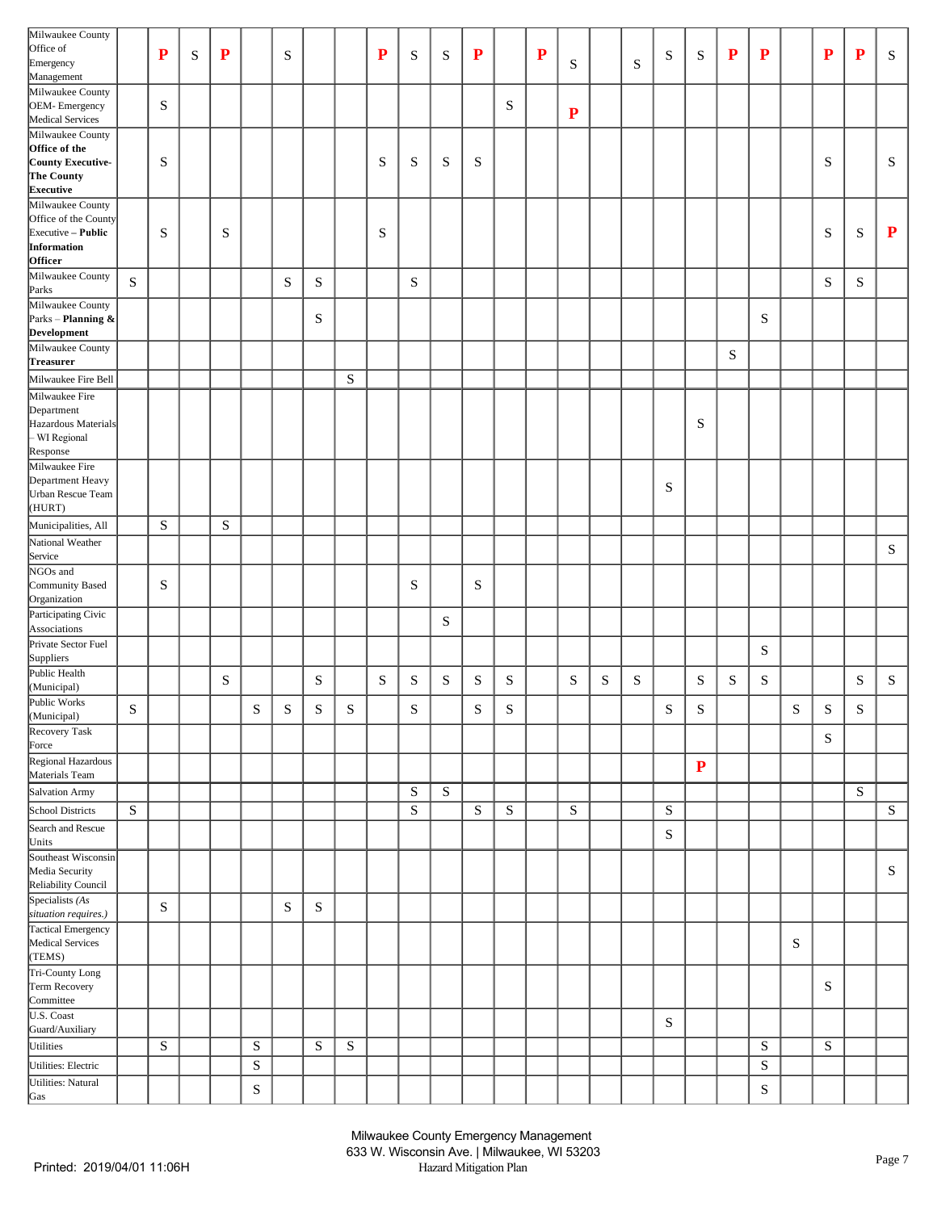| Milwaukee County                           |           |           |             |             |             |           |             |           |           |                   |           |             |                  |             |           |           |           |             |             |           |           |           |           |           |           |
|--------------------------------------------|-----------|-----------|-------------|-------------|-------------|-----------|-------------|-----------|-----------|-------------------|-----------|-------------|------------------|-------------|-----------|-----------|-----------|-------------|-------------|-----------|-----------|-----------|-----------|-----------|-----------|
| Office of                                  |           |           |             |             |             |           |             |           |           |                   |           |             |                  |             |           |           |           |             |             |           |           |           |           |           |           |
| Emergency                                  |           | P         | $\mathbf S$ | $\mathbf P$ |             | ${\bf S}$ |             |           | ${\bf P}$ | S                 | S         | $\mathbf P$ |                  | $\mathbf P$ | S         |           | S         | S           | ${\bf S}$   | ${\bf P}$ | ${\bf P}$ |           | P         | ${\bf P}$ | S         |
| Management                                 |           |           |             |             |             |           |             |           |           |                   |           |             |                  |             |           |           |           |             |             |           |           |           |           |           |           |
| Milwaukee County                           |           |           |             |             |             |           |             |           |           |                   |           |             |                  |             |           |           |           |             |             |           |           |           |           |           |           |
|                                            |           | S         |             |             |             |           |             |           |           |                   |           |             | S                |             |           |           |           |             |             |           |           |           |           |           |           |
| OEM-Emergency<br>Medical Services          |           |           |             |             |             |           |             |           |           |                   |           |             |                  |             | ${\bf P}$ |           |           |             |             |           |           |           |           |           |           |
|                                            |           |           |             |             |             |           |             |           |           |                   |           |             |                  |             |           |           |           |             |             |           |           |           |           |           |           |
| Milwaukee County                           |           |           |             |             |             |           |             |           |           |                   |           |             |                  |             |           |           |           |             |             |           |           |           |           |           |           |
| Office of the                              |           |           |             |             |             |           |             |           |           |                   |           |             |                  |             |           |           |           |             |             |           |           |           |           |           |           |
| County Executive-                          |           | S         |             |             |             |           |             |           | S         | S                 | S         | ${\bf S}$   |                  |             |           |           |           |             |             |           |           |           | S         |           | S         |
| The County                                 |           |           |             |             |             |           |             |           |           |                   |           |             |                  |             |           |           |           |             |             |           |           |           |           |           |           |
| <b>Executive</b>                           |           |           |             |             |             |           |             |           |           |                   |           |             |                  |             |           |           |           |             |             |           |           |           |           |           |           |
| Milwaukee County                           |           |           |             |             |             |           |             |           |           |                   |           |             |                  |             |           |           |           |             |             |           |           |           |           |           |           |
| Office of the County                       |           |           |             |             |             |           |             |           |           |                   |           |             |                  |             |           |           |           |             |             |           |           |           |           |           |           |
| Executive - Public                         |           | S         |             | ${\bf S}$   |             |           |             |           | S         |                   |           |             |                  |             |           |           |           |             |             |           |           |           | S         | S         | ${\bf P}$ |
| Information                                |           |           |             |             |             |           |             |           |           |                   |           |             |                  |             |           |           |           |             |             |           |           |           |           |           |           |
| <b>Officer</b>                             |           |           |             |             |             |           |             |           |           |                   |           |             |                  |             |           |           |           |             |             |           |           |           |           |           |           |
| Milwaukee County                           |           |           |             |             |             |           |             |           |           |                   |           |             |                  |             |           |           |           |             |             |           |           |           |           |           |           |
| Parks                                      | S         |           |             |             |             | ${\bf S}$ | ${\bf S}$   |           |           | ${\bf S}$         |           |             |                  |             |           |           |           |             |             |           |           |           | S         | S         |           |
| Milwaukee County                           |           |           |             |             |             |           |             |           |           |                   |           |             |                  |             |           |           |           |             |             |           |           |           |           |           |           |
| Parks - Planning &                         |           |           |             |             |             |           | S           |           |           |                   |           |             |                  |             |           |           |           |             |             |           | S         |           |           |           |           |
| Development                                |           |           |             |             |             |           |             |           |           |                   |           |             |                  |             |           |           |           |             |             |           |           |           |           |           |           |
|                                            |           |           |             |             |             |           |             |           |           |                   |           |             |                  |             |           |           |           |             |             |           |           |           |           |           |           |
| Milwaukee County                           |           |           |             |             |             |           |             |           |           |                   |           |             |                  |             |           |           |           |             |             | S         |           |           |           |           |           |
| Treasurer                                  |           |           |             |             |             |           |             |           |           |                   |           |             |                  |             |           |           |           |             |             |           |           |           |           |           |           |
| Milwaukee Fire Bell                        |           |           |             |             |             |           |             | ${\bf S}$ |           |                   |           |             |                  |             |           |           |           |             |             |           |           |           |           |           |           |
| Milwaukee Fire                             |           |           |             |             |             |           |             |           |           |                   |           |             |                  |             |           |           |           |             |             |           |           |           |           |           |           |
| Department                                 |           |           |             |             |             |           |             |           |           |                   |           |             |                  |             |           |           |           |             |             |           |           |           |           |           |           |
| Hazardous Materials                        |           |           |             |             |             |           |             |           |           |                   |           |             |                  |             |           |           |           |             | S           |           |           |           |           |           |           |
| - WI Regional                              |           |           |             |             |             |           |             |           |           |                   |           |             |                  |             |           |           |           |             |             |           |           |           |           |           |           |
| Response                                   |           |           |             |             |             |           |             |           |           |                   |           |             |                  |             |           |           |           |             |             |           |           |           |           |           |           |
|                                            |           |           |             |             |             |           |             |           |           |                   |           |             |                  |             |           |           |           |             |             |           |           |           |           |           |           |
| Milwaukee Fire                             |           |           |             |             |             |           |             |           |           |                   |           |             |                  |             |           |           |           |             |             |           |           |           |           |           |           |
| Department Heavy                           |           |           |             |             |             |           |             |           |           |                   |           |             |                  |             |           |           |           | S           |             |           |           |           |           |           |           |
| Urban Rescue Team                          |           |           |             |             |             |           |             |           |           |                   |           |             |                  |             |           |           |           |             |             |           |           |           |           |           |           |
| (HURT)                                     |           |           |             |             |             |           |             |           |           |                   |           |             |                  |             |           |           |           |             |             |           |           |           |           |           |           |
| Municipalities, All                        |           | S         |             | ${\bf S}$   |             |           |             |           |           |                   |           |             |                  |             |           |           |           |             |             |           |           |           |           |           |           |
| National Weather                           |           |           |             |             |             |           |             |           |           |                   |           |             |                  |             |           |           |           |             |             |           |           |           |           |           |           |
|                                            |           |           |             |             |             |           |             |           |           |                   |           |             |                  |             |           |           |           |             |             |           |           |           |           |           | ${\bf S}$ |
| Service<br>NGOs and                        |           |           |             |             |             |           |             |           |           |                   |           |             |                  |             |           |           |           |             |             |           |           |           |           |           |           |
|                                            |           |           |             |             |             |           |             |           |           |                   |           |             |                  |             |           |           |           |             |             |           |           |           |           |           |           |
| Community Based                            |           | S         |             |             |             |           |             |           |           | ${\bf S}$         |           | ${\bf S}$   |                  |             |           |           |           |             |             |           |           |           |           |           |           |
| Organization                               |           |           |             |             |             |           |             |           |           |                   |           |             |                  |             |           |           |           |             |             |           |           |           |           |           |           |
| Participating Civic                        |           |           |             |             |             |           |             |           |           |                   | S         |             |                  |             |           |           |           |             |             |           |           |           |           |           |           |
| Associations                               |           |           |             |             |             |           |             |           |           |                   |           |             |                  |             |           |           |           |             |             |           |           |           |           |           |           |
| Private Sector Fuel                        |           |           |             |             |             |           |             |           |           |                   |           |             |                  |             |           |           |           |             |             |           |           |           |           |           |           |
|                                            |           |           |             |             |             |           |             |           |           |                   |           |             |                  |             |           |           |           |             |             |           | S         |           |           |           |           |
| Suppliers<br>Public Health                 |           |           |             |             |             |           |             |           |           |                   |           |             |                  |             |           |           |           |             |             |           |           |           |           |           |           |
| (Municipal)                                |           |           |             | ${\bf S}$   |             |           | ${\bf S}$   |           | ${\bf S}$ | S                 | ${\bf S}$ | ${\bf S}$   | S                |             | ${\bf S}$ | ${\bf S}$ | ${\bf S}$ |             | $\mathbf S$ | ${\bf S}$ | ${\bf S}$ |           |           | ${\bf S}$ | ${\bf S}$ |
| Public Works                               |           |           |             |             |             |           |             |           |           |                   |           |             |                  |             |           |           |           |             |             |           |           |           |           |           |           |
|                                            | S         |           |             |             | S           | ${\bf S}$ | $\mathbf S$ | ${\bf S}$ |           | $\mathbf{C}$<br>P |           | ${\bf S}$   | $\mathbf C$<br>P |             |           |           |           | S           | $\mathbf S$ |           |           | S         | ${\bf S}$ | S         |           |
| (Municipal)<br>Recovery Task               |           |           |             |             |             |           |             |           |           |                   |           |             |                  |             |           |           |           |             |             |           |           |           |           |           |           |
|                                            |           |           |             |             |             |           |             |           |           |                   |           |             |                  |             |           |           |           |             |             |           |           |           | ${\bf S}$ |           |           |
| Force                                      |           |           |             |             |             |           |             |           |           |                   |           |             |                  |             |           |           |           |             |             |           |           |           |           |           |           |
| Regional Hazardous                         |           |           |             |             |             |           |             |           |           |                   |           |             |                  |             |           |           |           |             | ${\bf P}$   |           |           |           |           |           |           |
| Materials Team                             |           |           |             |             |             |           |             |           |           |                   |           |             |                  |             |           |           |           |             |             |           |           |           |           |           |           |
| Salvation Army                             |           |           |             |             |             |           |             |           |           | ${\bf S}$         | ${\bf S}$ |             |                  |             |           |           |           |             |             |           |           |           |           | ${\bf S}$ |           |
|                                            |           |           |             |             |             |           |             |           |           |                   |           |             |                  |             |           |           |           |             |             |           |           |           |           |           |           |
| School Districts                           | ${\bf S}$ |           |             |             |             |           |             |           |           | ${\bf S}$         |           | ${\bf S}$   | ${\bf S}$        |             | ${\bf S}$ |           |           | ${\bf S}$   |             |           |           |           |           |           | ${\bf S}$ |
| Search and Rescue                          |           |           |             |             |             |           |             |           |           |                   |           |             |                  |             |           |           |           | ${\bf S}$   |             |           |           |           |           |           |           |
|                                            |           |           |             |             |             |           |             |           |           |                   |           |             |                  |             |           |           |           |             |             |           |           |           |           |           |           |
| Units<br>Southeast Wisconsin               |           |           |             |             |             |           |             |           |           |                   |           |             |                  |             |           |           |           |             |             |           |           |           |           |           |           |
| Media Security                             |           |           |             |             |             |           |             |           |           |                   |           |             |                  |             |           |           |           |             |             |           |           |           |           |           | ${\bf S}$ |
|                                            |           |           |             |             |             |           |             |           |           |                   |           |             |                  |             |           |           |           |             |             |           |           |           |           |           |           |
| Reliability Council<br>Specialists (As     |           |           |             |             |             |           |             |           |           |                   |           |             |                  |             |           |           |           |             |             |           |           |           |           |           |           |
|                                            |           | ${\bf S}$ |             |             |             | ${\bf S}$ | $\mathbf S$ |           |           |                   |           |             |                  |             |           |           |           |             |             |           |           |           |           |           |           |
| situation requires.)<br>Tactical Emergency |           |           |             |             |             |           |             |           |           |                   |           |             |                  |             |           |           |           |             |             |           |           |           |           |           |           |
|                                            |           |           |             |             |             |           |             |           |           |                   |           |             |                  |             |           |           |           |             |             |           |           |           |           |           |           |
| Medical Services                           |           |           |             |             |             |           |             |           |           |                   |           |             |                  |             |           |           |           |             |             |           |           | ${\bf S}$ |           |           |           |
| (TEMS)                                     |           |           |             |             |             |           |             |           |           |                   |           |             |                  |             |           |           |           |             |             |           |           |           |           |           |           |
| Tri-County Long                            |           |           |             |             |             |           |             |           |           |                   |           |             |                  |             |           |           |           |             |             |           |           |           |           |           |           |
| Term Recovery                              |           |           |             |             |             |           |             |           |           |                   |           |             |                  |             |           |           |           |             |             |           |           |           | S         |           |           |
| Committee                                  |           |           |             |             |             |           |             |           |           |                   |           |             |                  |             |           |           |           |             |             |           |           |           |           |           |           |
| U.S. Coast                                 |           |           |             |             |             |           |             |           |           |                   |           |             |                  |             |           |           |           |             |             |           |           |           |           |           |           |
| Guard/Auxiliary                            |           |           |             |             |             |           |             |           |           |                   |           |             |                  |             |           |           |           | $\mathbf S$ |             |           |           |           |           |           |           |
| Utilities                                  |           | S         |             |             | ${\bf S}$   |           | ${\bf S}$   | ${\bf S}$ |           |                   |           |             |                  |             |           |           |           |             |             |           | ${\bf S}$ |           | ${\bf S}$ |           |           |
|                                            |           |           |             |             |             |           |             |           |           |                   |           |             |                  |             |           |           |           |             |             |           |           |           |           |           |           |
| Utilities: Electric                        |           |           |             |             | ${\bf S}$   |           |             |           |           |                   |           |             |                  |             |           |           |           |             |             |           | ${\bf S}$ |           |           |           |           |
| Utilities: Natural                         |           |           |             |             |             |           |             |           |           |                   |           |             |                  |             |           |           |           |             |             |           |           |           |           |           |           |
| Gas                                        |           |           |             |             | $\mathbf S$ |           |             |           |           |                   |           |             |                  |             |           |           |           |             |             |           | ${\bf S}$ |           |           |           |           |